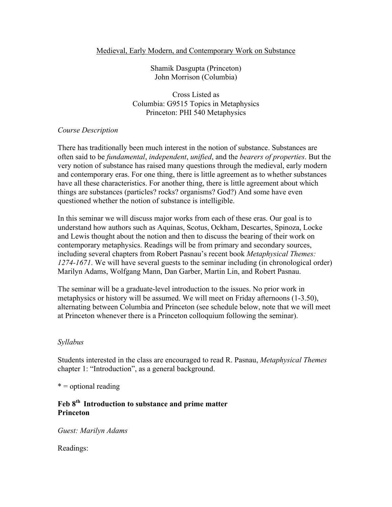#### Medieval, Early Modern, and Contemporary Work on Substance

Shamik Dasgupta (Princeton) John Morrison (Columbia)

Cross Listed as Columbia: G9515 Topics in Metaphysics Princeton: PHI 540 Metaphysics

### *Course Description*

There has traditionally been much interest in the notion of substance. Substances are often said to be *fundamental*, *independent*, *unified*, and the *bearers of properties*. But the very notion of substance has raised many questions through the medieval, early modern and contemporary eras. For one thing, there is little agreement as to whether substances have all these characteristics. For another thing, there is little agreement about which things are substances (particles? rocks? organisms? God?) And some have even questioned whether the notion of substance is intelligible.

In this seminar we will discuss major works from each of these eras. Our goal is to understand how authors such as Aquinas, Scotus, Ockham, Descartes, Spinoza, Locke and Lewis thought about the notion and then to discuss the bearing of their work on contemporary metaphysics. Readings will be from primary and secondary sources, including several chapters from Robert Pasnau's recent book *Metaphysical Themes: 1274-1671*. We will have several guests to the seminar including (in chronological order) Marilyn Adams, Wolfgang Mann, Dan Garber, Martin Lin, and Robert Pasnau.

The seminar will be a graduate-level introduction to the issues. No prior work in metaphysics or history will be assumed. We will meet on Friday afternoons (1-3.50), alternating between Columbia and Princeton (see schedule below, note that we will meet at Princeton whenever there is a Princeton colloquium following the seminar).

#### *Syllabus*

Students interested in the class are encouraged to read R. Pasnau, *Metaphysical Themes* chapter 1: "Introduction", as a general background.

 $* =$  optional reading

## **Feb 8th Introduction to substance and prime matter Princeton**

*Guest: Marilyn Adams*

Readings: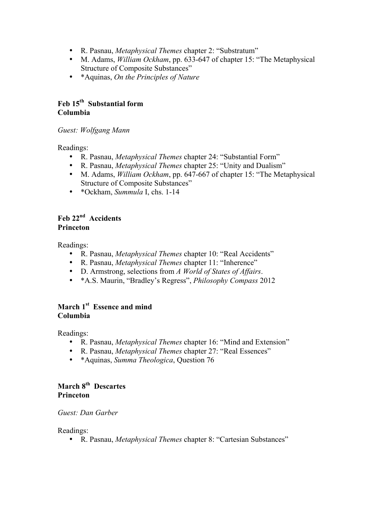- R. Pasnau, *Metaphysical Themes* chapter 2: "Substratum"
- M. Adams, *William Ockham*, pp. 633-647 of chapter 15: "The Metaphysical Structure of Composite Substances"
- \*Aquinas, *On the Principles of Nature*

# **Feb 15th Substantial form Columbia**

*Guest: Wolfgang Mann*

Readings:

- R. Pasnau, *Metaphysical Themes* chapter 24: "Substantial Form"
- R. Pasnau, *Metaphysical Themes* chapter 25: "Unity and Dualism"
- M. Adams, *William Ockham*, pp. 647-667 of chapter 15: "The Metaphysical Structure of Composite Substances"
- \*Ockham, *Summula* I, chs. 1-14

# **Feb 22nd Accidents Princeton**

Readings:

- R. Pasnau, *Metaphysical Themes* chapter 10: "Real Accidents"
- R. Pasnau, *Metaphysical Themes* chapter 11: "Inherence"
- D. Armstrong, selections from *A World of States of Affairs*.
- \*A.S. Maurin, "Bradley's Regress", *Philosophy Compass* 2012

# **March 1st Essence and mind Columbia**

Readings:

- R. Pasnau, *Metaphysical Themes* chapter 16: "Mind and Extension"
- R. Pasnau, *Metaphysical Themes* chapter 27: "Real Essences"
- \*Aquinas, *Summa Theologica*, Question 76

## **March 8th Descartes Princeton**

*Guest: Dan Garber*

Readings:

• R. Pasnau, *Metaphysical Themes* chapter 8: "Cartesian Substances"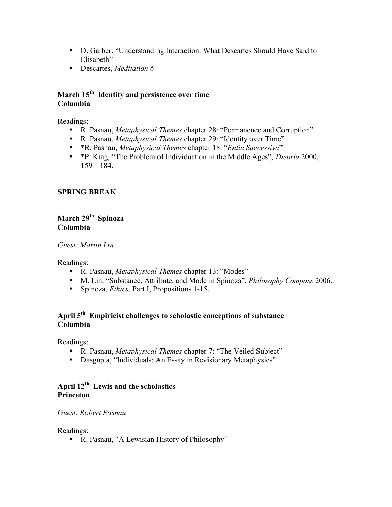- D. Garber, "Understanding Interaction: What Descartes Should Have Said to Elisabeth"
- Descartes, *Meditation 6*

### **March 15th Identity and persistence over time Columbia**

Readings:

- R. Pasnau, *Metaphysical Themes* chapter 28: "Permanence and Corruption"
- R. Pasnau, *Metaphysical Themes* chapter 29: "Identity over Time"
- \*R. Pasnau, *Metaphysical Themes* chapter 18: "*Entia Successiva*"
- \*P. King, "The Problem of Individuation in the Middle Ages", *Theoria* 2000, 159—184.

### **SPRING BREAK**

## March 29<sup>th</sup> Spinoza **Columbia**

*Guest: Martin Lin*

Readings:

- R. Pasnau, *Metaphysical Themes* chapter 13: "Modes"
- M. Lin, "Substance, Attribute, and Mode in Spinoza", *Philosophy Compass* 2006.
- Spinoza, *Ethics*, Part I, Propositions 1-15.

## **April 5th Empiricist challenges to scholastic conceptions of substance Columbia**

Readings:

- R. Pasnau, *Metaphysical Themes* chapter 7: "The Veiled Subject"
- Dasgupta, "Individuals: An Essay in Revisionary Metaphysics"

## **April 12th Lewis and the scholastics Princeton**

#### *Guest: Robert Pasnau*

Readings:

• R. Pasnau, "A Lewisian History of Philosophy"